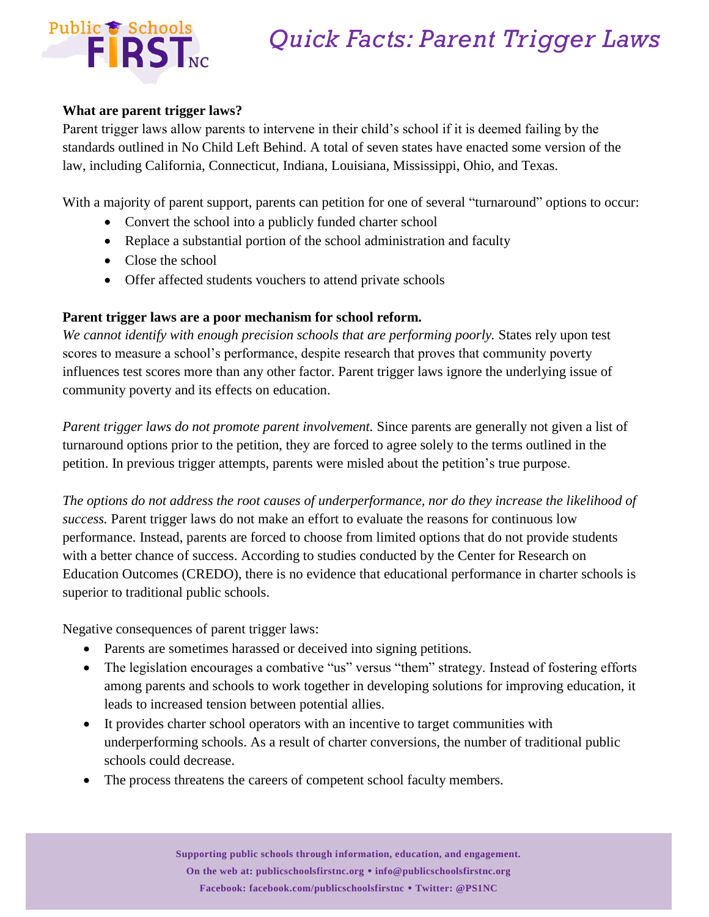# *Quick Facts: Parent Trigger Laws*



### **What are parent trigger laws?**

Parent trigger laws allow parents to intervene in their child's school if it is deemed failing by the standards outlined in No Child Left Behind. A total of seven states have enacted some version of the law, including California, Connecticut, Indiana, Louisiana, Mississippi, Ohio, and Texas.

With a majority of parent support, parents can petition for one of several "turnaround" options to occur:

- Convert the school into a publicly funded charter school
- Replace a substantial portion of the school administration and faculty
- Close the school
- Offer affected students vouchers to attend private schools

## **Parent trigger laws are a poor mechanism for school reform.**

*We cannot identify with enough precision schools that are performing poorly.* States rely upon test scores to measure a school's performance, despite research that proves that community poverty influences test scores more than any other factor. Parent trigger laws ignore the underlying issue of community poverty and its effects on education.

*Parent trigger laws do not promote parent involvement.* Since parents are generally not given a list of turnaround options prior to the petition, they are forced to agree solely to the terms outlined in the petition. In previous trigger attempts, parents were misled about the petition's true purpose.

*The options do not address the root causes of underperformance, nor do they increase the likelihood of success.* Parent trigger laws do not make an effort to evaluate the reasons for continuous low performance. Instead, parents are forced to choose from limited options that do not provide students with a better chance of success. According to studies conducted by the Center for Research on Education Outcomes (CREDO), there is no evidence that educational performance in charter schools is superior to traditional public schools.

Negative consequences of parent trigger laws:

- Parents are sometimes harassed or deceived into signing petitions.
- The legislation encourages a combative "us" versus "them" strategy. Instead of fostering efforts among parents and schools to work together in developing solutions for improving education, it leads to increased tension between potential allies.
- It provides charter school operators with an incentive to target communities with underperforming schools. As a result of charter conversions, the number of traditional public schools could decrease.
- The process threatens the careers of competent school faculty members.

**Supporting public schools through information, education, and engagement. On the web at: publicschoolsfirstnc.org info@publicschoolsfirstnc.org Facebook: facebook.com/publicschoolsfirstnc Twitter: @PS1NC**